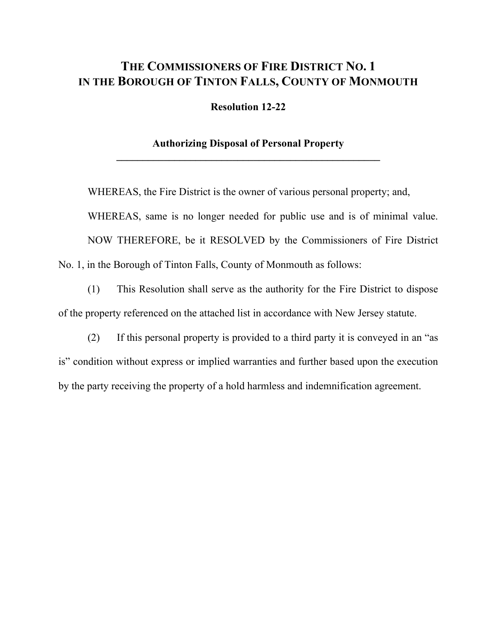# **THE COMMISSIONERS OF FIRE DISTRICT NO. 1 IN THE BOROUGH OF TINTON FALLS, COUNTY OF MONMOUTH**

**Resolution 12-22**

## **Authorizing Disposal of Personal Property \_\_\_\_\_\_\_\_\_\_\_\_\_\_\_\_\_\_\_\_\_\_\_\_\_\_\_\_\_\_\_\_\_\_\_\_\_\_\_\_\_\_\_\_\_\_\_\_\_\_**

WHEREAS, the Fire District is the owner of various personal property; and, WHEREAS, same is no longer needed for public use and is of minimal value. NOW THEREFORE, be it RESOLVED by the Commissioners of Fire District No. 1, in the Borough of Tinton Falls, County of Monmouth as follows:

(1) This Resolution shall serve as the authority for the Fire District to dispose of the property referenced on the attached list in accordance with New Jersey statute.

(2) If this personal property is provided to a third party it is conveyed in an "as is" condition without express or implied warranties and further based upon the execution by the party receiving the property of a hold harmless and indemnification agreement.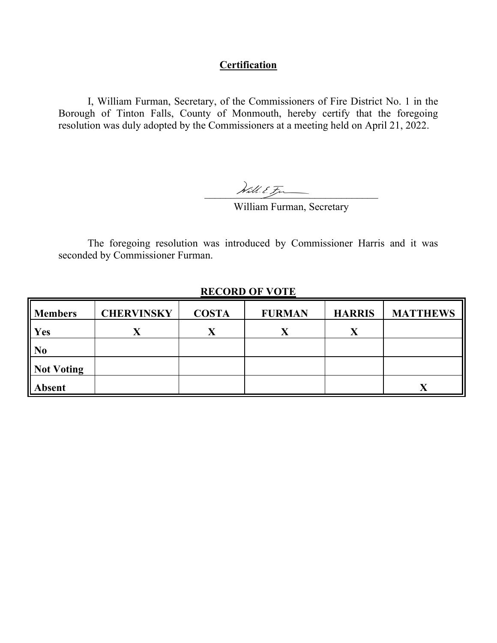## **Certification**

I, William Furman, Secretary, of the Commissioners of Fire District No. 1 in the Borough of Tinton Falls, County of Monmouth, hereby certify that the foregoing resolution was duly adopted by the Commissioners at a meeting held on April 21, 2022.

 $\mathcal{N}$ ill. E. Frances

William Furman, Secretary

The foregoing resolution was introduced by Commissioner Harris and it was seconded by Commissioner Furman.

| <b>Members</b>    | <b>CHERVINSKY</b> | <b>COSTA</b> | <b>FURMAN</b> | <b>HARRIS</b> | <b>MATTHEWS</b> |
|-------------------|-------------------|--------------|---------------|---------------|-----------------|
| Yes               | $\Lambda$         | X            | X             | X             |                 |
| No                |                   |              |               |               |                 |
| <b>Not Voting</b> |                   |              |               |               |                 |
| <b>Absent</b>     |                   |              |               |               |                 |

## **RECORD OF VOTE**